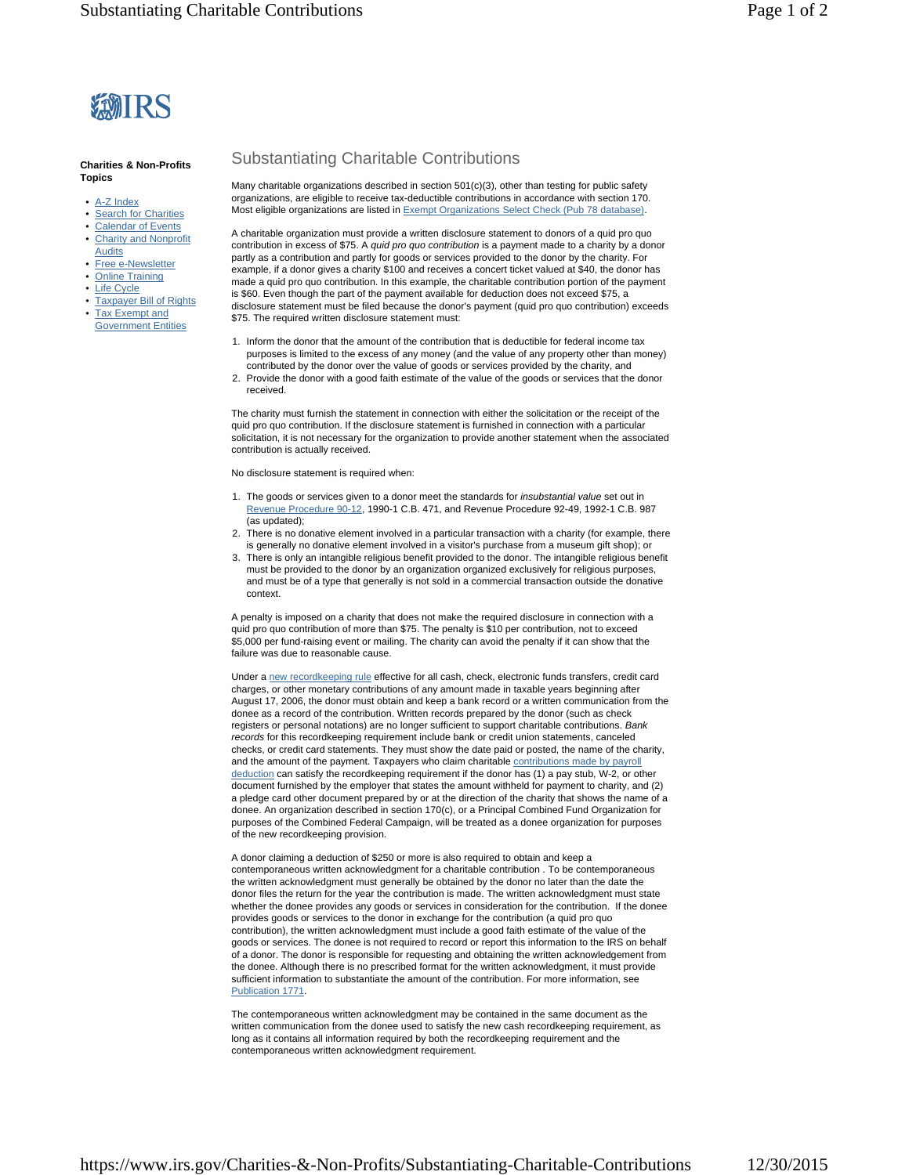

## **Charities & Non-Profits Topics**

- A-Z Index
- Search for Charities
- Calendar of Events
- Charity and Nonprofit
- Audits
- Free e-Newsletter
- Online Training
- Life Cycle
- Taxpayer Bill of Rights
- **Tax Exempt and** Government Entities

## Substantiating Charitable Contributions

Many charitable organizations described in section 501(c)(3), other than testing for public safety organizations, are eligible to receive tax-deductible contributions in accordance with section 170. Most eligible organizations are listed in Exempt Organizations Select Check (Pub 78 database).

A charitable organization must provide a written disclosure statement to donors of a quid pro quo contribution in excess of \$75. A *quid pro quo contribution* is a payment made to a charity by a donor partly as a contribution and partly for goods or services provided to the donor by the charity. For example, if a donor gives a charity \$100 and receives a concert ticket valued at \$40, the donor has made a quid pro quo contribution. In this example, the charitable contribution portion of the payment is \$60. Even though the part of the payment available for deduction does not exceed \$75, a disclosure statement must be filed because the donor's payment (quid pro quo contribution) exceeds \$75. The required written disclosure statement must:

- 1. Inform the donor that the amount of the contribution that is deductible for federal income tax purposes is limited to the excess of any money (and the value of any property other than money) contributed by the donor over the value of goods or services provided by the charity, and
- 2. Provide the donor with a good faith estimate of the value of the goods or services that the donor received.

The charity must furnish the statement in connection with either the solicitation or the receipt of the quid pro quo contribution. If the disclosure statement is furnished in connection with a particular solicitation, it is not necessary for the organization to provide another statement when the associated contribution is actually received.

No disclosure statement is required when:

- 1. The goods or services given to a donor meet the standards for *insubstantial value* set out in Revenue Procedure 90-12, 1990-1 C.B. 471, and Revenue Procedure 92-49, 1992-1 C.B. 987 (as updated);
- 2. There is no donative element involved in a particular transaction with a charity (for example, there is generally no donative element involved in a visitor's purchase from a museum gift shop); or
- 3. There is only an intangible religious benefit provided to the donor. The intangible religious benefit must be provided to the donor by an organization organized exclusively for religious purposes, and must be of a type that generally is not sold in a commercial transaction outside the donative context.

A penalty is imposed on a charity that does not make the required disclosure in connection with a quid pro quo contribution of more than \$75. The penalty is \$10 per contribution, not to exceed \$5,000 per fund-raising event or mailing. The charity can avoid the penalty if it can show that the failure was due to reasonable cause.

Under a new recordkeeping rule effective for all cash, check, electronic funds transfers, credit card charges, or other monetary contributions of any amount made in taxable years beginning after August 17, 2006, the donor must obtain and keep a bank record or a written communication from the donee as a record of the contribution. Written records prepared by the donor (such as check registers or personal notations) are no longer sufficient to support charitable contributions. *Bank records* for this recordkeeping requirement include bank or credit union statements, canceled checks, or credit card statements. They must show the date paid or posted, the name of the charity, and the amount of the payment. Taxpayers who claim charitable contributions made by payroll deduction can satisfy the recordkeeping requirement if the donor has (1) a pay stub, W-2, or other document furnished by the employer that states the amount withheld for payment to charity, and (2) a pledge card other document prepared by or at the direction of the charity that shows the name of a donee. An organization described in section 170(c), or a Principal Combined Fund Organization for purposes of the Combined Federal Campaign, will be treated as a donee organization for purposes of the new recordkeeping provision.

A donor claiming a deduction of \$250 or more is also required to obtain and keep a contemporaneous written acknowledgment for a charitable contribution . To be contemporaneous the written acknowledgment must generally be obtained by the donor no later than the date the donor files the return for the year the contribution is made. The written acknowledgment must state whether the donee provides any goods or services in consideration for the contribution. If the donee provides goods or services to the donor in exchange for the contribution (a quid pro quo contribution), the written acknowledgment must include a good faith estimate of the value of the goods or services. The donee is not required to record or report this information to the IRS on behalf of a donor. The donor is responsible for requesting and obtaining the written acknowledgement from the donee. Although there is no prescribed format for the written acknowledgment, it must provide sufficient information to substantiate the amount of the contribution. For more information, see Publication 1771.

The contemporaneous written acknowledgment may be contained in the same document as the written communication from the donee used to satisfy the new cash recordkeeping requirement, as long as it contains all information required by both the recordkeeping requirement and the contemporaneous written acknowledgment requirement.